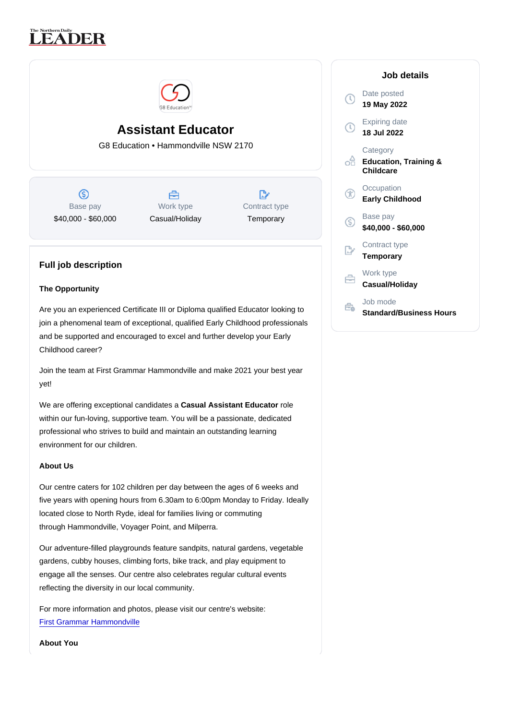# Assistant Educator

G8 Education • Hammondville NSW 2170

Base pay \$40,000 - \$60,000

Work type Casual/Holiday Contract type **Temporary** 

## Full job description

## The Opportunity

Are you an experienced Certificate III or Diploma qualified Educator looking to join a phenomenal team of exceptional, qualified Early Childhood professionals and be supported and encouraged to excel and further develop your Early Childhood career?

Join the team at First Grammar Hammondville and make 2021 your best year yet!

We are offering exceptional candidates a Casual Assistant Educator role within our fun-loving, supportive team. You will be a passionate, dedicated professional who strives to build and maintain an outstanding learning environment for our children.

## About Us

Our centre caters for 102 children per day between the ages of 6 weeks and five years with opening hours from 6.30am to 6:00pm Monday to Friday. Ideally located close to North Ryde, ideal for families living or commuting through Hammondville, Voyager Point, and Milperra.

Our adventure-filled playgrounds feature sandpits, natural gardens, vegetable gardens, cubby houses, climbing forts, bike track, and play equipment to engage all the senses. Our centre also celebrates regular cultural events reflecting the diversity in our local community.

For more information and photos, please visit our centre's website: [First Grammar Hammondville](https://www.firstgrammar.com.au/childcare-hammondville/)

About You

## Job details

Date posted 19 May 2022

Expiring date 18 Jul 2022

**Category** Education, Training & **Childcare** 

**Occupation** Early Childhood

Base pay \$40,000 - \$60,000

Contract type Temporary

Work type Casual/Holiday

Job mode Standard/Business Hours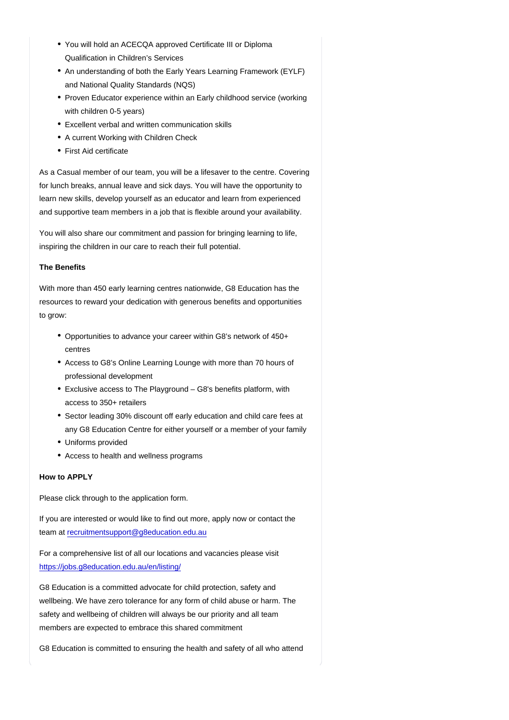- You will hold an ACECQA approved Certificate III or Diploma Qualification in Children's Services
- An understanding of both the Early Years Learning Framework (EYLF) and National Quality Standards (NQS)
- Proven Educator experience within an Early childhood service (working with children 0-5 years)
- Excellent verbal and written communication skills
- A current Working with Children Check
- First Aid certificate

As a Casual member of our team, you will be a lifesaver to the centre. Covering for lunch breaks, annual leave and sick days. You will have the opportunity to learn new skills, develop yourself as an educator and learn from experienced and supportive team members in a job that is flexible around your availability.

You will also share our commitment and passion for bringing learning to life, inspiring the children in our care to reach their full potential.

## The Benefits

With more than 450 early learning centres nationwide, G8 Education has the resources to reward your dedication with generous benefits and opportunities to grow:

- Opportunities to advance your career within G8's network of 450+ centres
- Access to G8's Online Learning Lounge with more than 70 hours of professional development
- Exclusive access to The Playground G8's benefits platform, with access to 350+ retailers
- Sector leading 30% discount off early education and child care fees at any G8 Education Centre for either yourself or a member of your family
- Uniforms provided
- Access to health and wellness programs

#### How to APPLY

Please click through to the application form.

If you are interested or would like to find out more, apply now or contact the team at [recruitmentsupport@g8education.edu.au](mailto:recruitmentsupport@g8education.edu.au)

For a comprehensive list of all our locations and vacancies please visit <https://jobs.g8education.edu.au/en/listing/>

G8 Education is a committed advocate for child protection, safety and wellbeing. We have zero tolerance for any form of child abuse or harm. The safety and wellbeing of children will always be our priority and all team members are expected to embrace this shared commitment

G8 Education is committed to ensuring the health and safety of all who attend